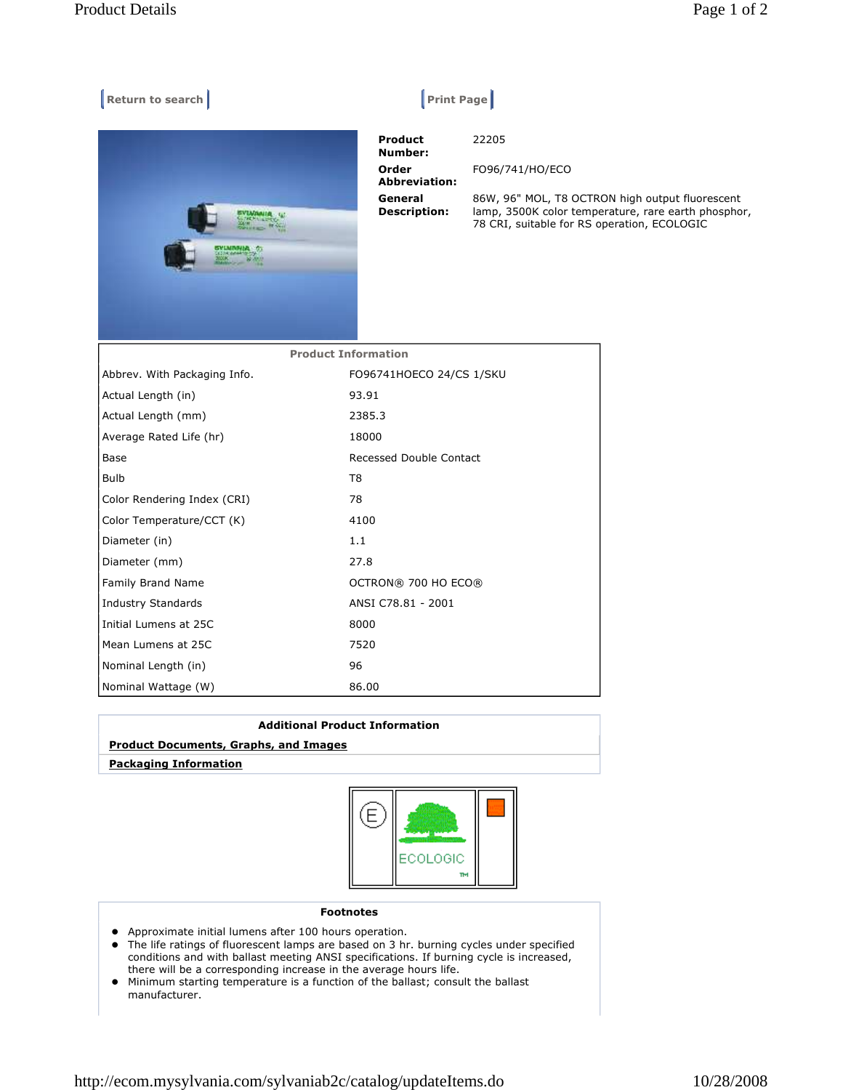## **Return to search Return Construction Construction Construction Print Page |**



22205

 **Product Number: Order Abbreviation: General Description:** 

FO96/741/HO/ECO 86W, 96" MOL, T8 OCTRON high output fluorescent lamp, 3500K color temperature, rare earth phosphor, 78 CRI, suitable for RS operation, ECOLOGIC

| <b>Product Information</b>   |                          |
|------------------------------|--------------------------|
| Abbrev. With Packaging Info. | FO96741HOECO 24/CS 1/SKU |
| Actual Length (in)           | 93.91                    |
| Actual Length (mm)           | 2385.3                   |
| Average Rated Life (hr)      | 18000                    |
| Base                         | Recessed Double Contact  |
| <b>Bulb</b>                  | T <sub>8</sub>           |
| Color Rendering Index (CRI)  | 78                       |
| Color Temperature/CCT (K)    | 4100                     |
| Diameter (in)                | 1.1                      |
| Diameter (mm)                | 27.8                     |
| Family Brand Name            | OCTRON® 700 HO ECO®      |
| <b>Industry Standards</b>    | ANSI C78.81 - 2001       |
| Initial Lumens at 25C        | 8000                     |
| Mean Lumens at 25C           | 7520                     |
| Nominal Length (in)          | 96                       |
| Nominal Wattage (W)          | 86.00                    |

| <b>Additional Product Information</b>        |  |
|----------------------------------------------|--|
| <b>Product Documents, Graphs, and Images</b> |  |
| <b>Packaging Information</b>                 |  |
|                                              |  |



## **Footnotes**

- Approximate initial lumens after 100 hours operation.
- The life ratings of fluorescent lamps are based on 3 hr. burning cycles under specified conditions and with ballast meeting ANSI specifications. If burning cycle is increased, there will be a corresponding increase in the average hours life.
- Minimum starting temperature is a function of the ballast; consult the ballast manufacturer.